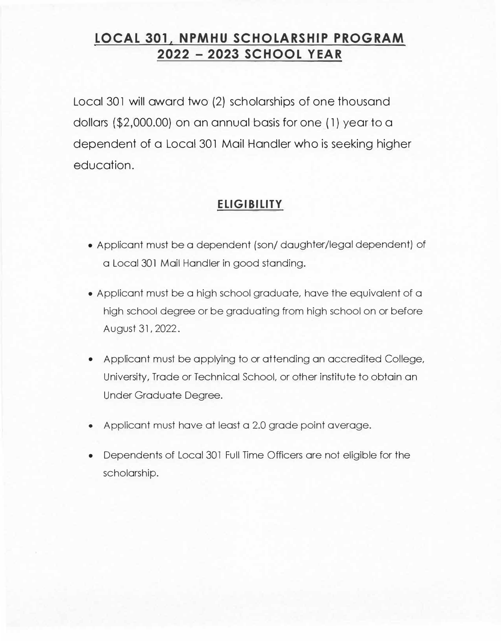# **LOCAL 301, NPMHU SCHOLARSHIP PROGRAM 2022 - 2023 SCHOOL YEAR**

Local 301 will award two (2) scholarships of one thousand dollars (\$2,000.00) on an annual basis for one ( 1) year to a dependent of a Local 301 Mail Handler who is seeking higher education.

## **ELIGIBILITY**

- Applicant must be a dependent (son/ daughter/legal dependent) of a Local 301 Mail Handler in good standing.
- Applicant must be a high school graduate, have the equivalent of a high school degree or be graduating from high school on or before August 31, 2022.
- Applicant must be applying to or attending an accredited College, University, Trade or Technical School, or other institute to obtain an Under Graduate Degree.
- Applicant must have at least a 2.0 grade point average.
- • Dependents of Local 301 Full Time Officers are not eligible for the scholarship.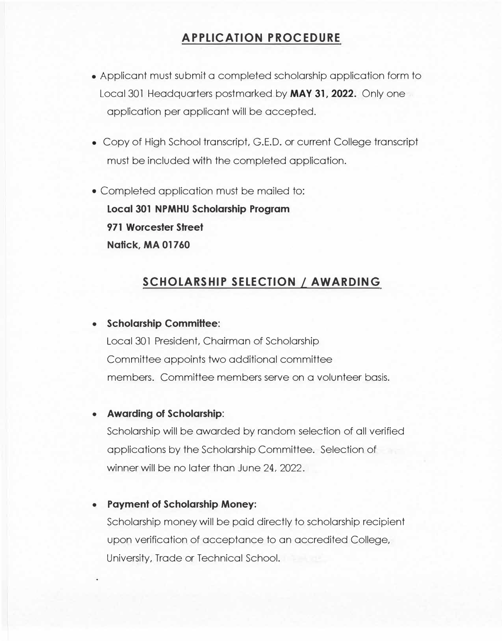# **APPLICATION PROCEDURE**

- Applicant must submit a completed scholarship application form to Local 301 Headquarters postmarked by **MAY 31, 2022.** Only one application per applicant will be accepted.
- Copy of High School transcript, G.E.D. or current College transcript must be included with the completed application.
- Completed application must be mailed to: **Local 301 NPMHU Scholarship Program 971 Worcester Street Natick, MA 01760**

## **SCHOLARSHIP SELECTION / AWARDING**

#### **• Scholarship Committee:**

Local 301 President, Chairman of Scholarship Committee appoints two additional committee members. Committee members serve on a volunteer basis.

### **• Awarding of Scholarship:**

Scholarship will be awarded by random selection of all verified applications by the Scholarship Committee. Selection of winner will be no later than June 24, 2022.

#### **• Payment of Scholarship Money:**

Scholarship money will be paid directly to scholarship recipient upon verification of acceptance to an accredited College, University, Trade or Technical School.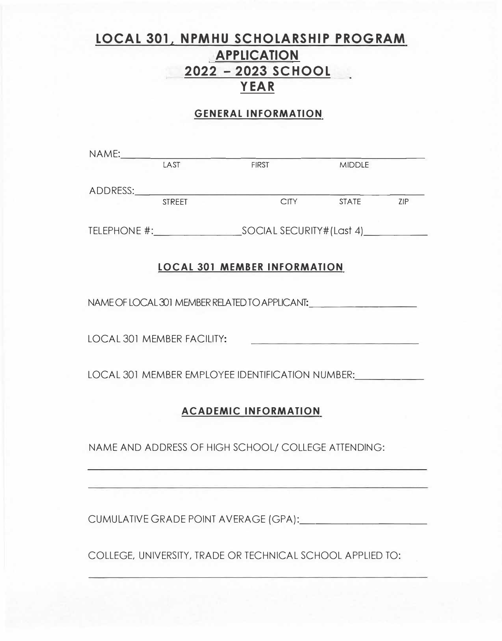# **LOCAL 301, NPMHU SCHOLARSHIP PROGRAM APPLICATION 2022 - 2023 SCHOOL YEAR**

### **GENERAL INFORMATION**

| NAME:                                                                                | LAST   | <b>FIRST</b>                                        | <b>MIDDLE</b> |     |
|--------------------------------------------------------------------------------------|--------|-----------------------------------------------------|---------------|-----|
|                                                                                      |        |                                                     |               |     |
|                                                                                      | STREET |                                                     |               |     |
|                                                                                      |        |                                                     | CITY STATE    | ZIP |
|                                                                                      |        |                                                     |               |     |
|                                                                                      |        |                                                     |               |     |
| <b>LOCAL 301 MEMBER INFORMATION</b>                                                  |        |                                                     |               |     |
| NAME OF LOCAL 301 MEMBER RELATED TO APPLICANT: _________________________________     |        |                                                     |               |     |
|                                                                                      |        |                                                     |               |     |
| <b>LOCAL 301 MEMBER FACILITY:</b><br>the control of the second control of the second |        |                                                     |               |     |
|                                                                                      |        |                                                     |               |     |
| LOCAL 301 MEMBER EMPLOYEE IDENTIFICATION NUMBER:                                     |        |                                                     |               |     |
|                                                                                      |        |                                                     |               |     |
| <b>ACADEMIC INFORMATION</b>                                                          |        |                                                     |               |     |
|                                                                                      |        | NAME AND ADDRESS OF HIGH SCHOOL/ COLLEGE ATTENDING: |               |     |
|                                                                                      |        |                                                     |               |     |
|                                                                                      |        |                                                     |               |     |

CUMULATIVE GRADE POINT AVERAGE (GPA):

COLLEGE, UNIVERSITY, TRADE OR TECHNICAL SCHOOL APPLIED TO: